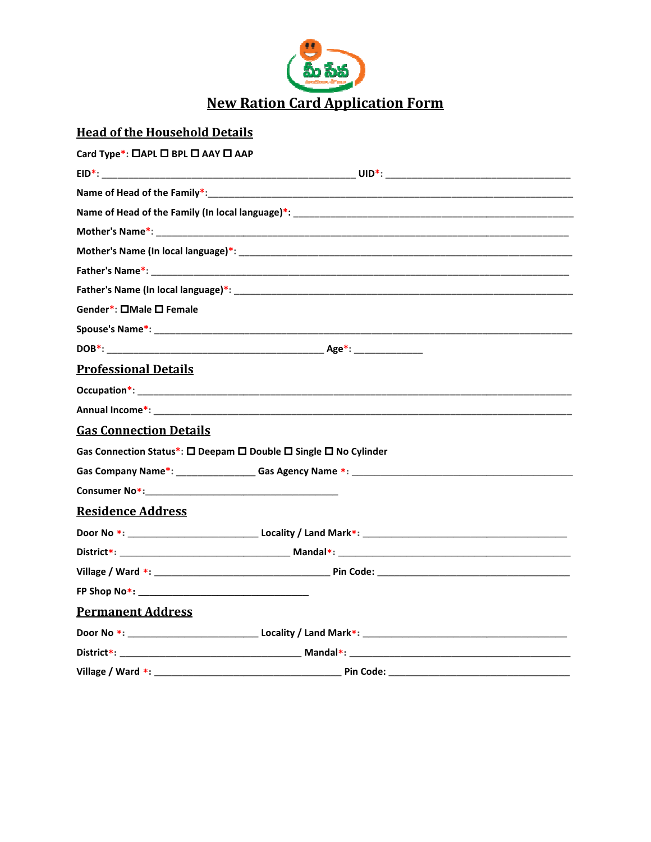

# **Head of the Household Details**

| Card Type*: □APL □ BPL □ AAY □ AAP                                                                   |                                                                                                                                                                                                                                |  |
|------------------------------------------------------------------------------------------------------|--------------------------------------------------------------------------------------------------------------------------------------------------------------------------------------------------------------------------------|--|
|                                                                                                      |                                                                                                                                                                                                                                |  |
|                                                                                                      |                                                                                                                                                                                                                                |  |
|                                                                                                      |                                                                                                                                                                                                                                |  |
|                                                                                                      |                                                                                                                                                                                                                                |  |
|                                                                                                      | Mother's Name (In local language)*: Notified that the contract of the contract of the contract of the contract of the contract of the contract of the contract of the contract of the contract of the contract of the contract |  |
|                                                                                                      |                                                                                                                                                                                                                                |  |
|                                                                                                      |                                                                                                                                                                                                                                |  |
| Gender*: □Male □ Female                                                                              |                                                                                                                                                                                                                                |  |
|                                                                                                      |                                                                                                                                                                                                                                |  |
|                                                                                                      |                                                                                                                                                                                                                                |  |
| <b>Professional Details</b>                                                                          |                                                                                                                                                                                                                                |  |
|                                                                                                      |                                                                                                                                                                                                                                |  |
|                                                                                                      |                                                                                                                                                                                                                                |  |
| <b>Gas Connection Details</b>                                                                        |                                                                                                                                                                                                                                |  |
|                                                                                                      | Gas Connection Status*: $\square$ Deepam $\square$ Double $\square$ Single $\square$ No Cylinder                                                                                                                               |  |
|                                                                                                      |                                                                                                                                                                                                                                |  |
| Consumer No*: Note: Note: Note: Note: Note: Note: Note: Note: Note: Note: Note: Note: Note: Note: No |                                                                                                                                                                                                                                |  |
| <b>Residence Address</b>                                                                             |                                                                                                                                                                                                                                |  |
|                                                                                                      |                                                                                                                                                                                                                                |  |
|                                                                                                      |                                                                                                                                                                                                                                |  |
|                                                                                                      |                                                                                                                                                                                                                                |  |
|                                                                                                      |                                                                                                                                                                                                                                |  |
| <b>Permanent Address</b>                                                                             |                                                                                                                                                                                                                                |  |
|                                                                                                      |                                                                                                                                                                                                                                |  |
|                                                                                                      |                                                                                                                                                                                                                                |  |
| Village / Ward $*$ : $\_\$                                                                           | Pin Code: _________                                                                                                                                                                                                            |  |